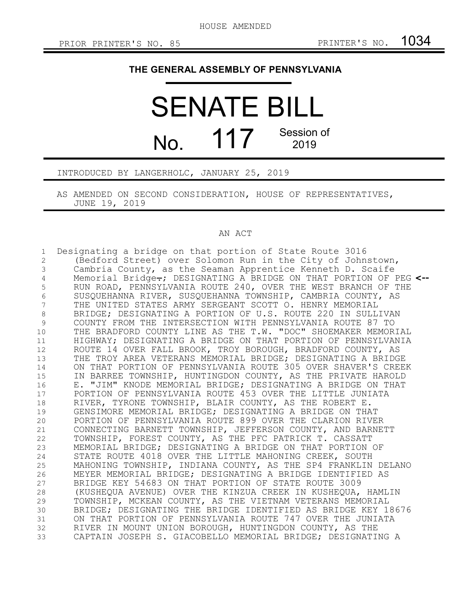## **THE GENERAL ASSEMBLY OF PENNSYLVANIA**

SENATE BILL No. 117 Session of 2019

INTRODUCED BY LANGERHOLC, JANUARY 25, 2019

AS AMENDED ON SECOND CONSIDERATION, HOUSE OF REPRESENTATIVES, JUNE 19, 2019

## AN ACT

Designating a bridge on that portion of State Route 3016 (Bedford Street) over Solomon Run in the City of Johnstown, Cambria County, as the Seaman Apprentice Kenneth D. Scaife Memorial Bridge.; DESIGNATING A BRIDGE ON THAT PORTION OF PEG **<--** RUN ROAD, PENNSYLVANIA ROUTE 240, OVER THE WEST BRANCH OF THE SUSQUEHANNA RIVER, SUSQUEHANNA TOWNSHIP, CAMBRIA COUNTY, AS THE UNITED STATES ARMY SERGEANT SCOTT O. HENRY MEMORIAL BRIDGE; DESIGNATING A PORTION OF U.S. ROUTE 220 IN SULLIVAN COUNTY FROM THE INTERSECTION WITH PENNSYLVANIA ROUTE 87 TO THE BRADFORD COUNTY LINE AS THE T.W. "DOC" SHOEMAKER MEMORIAL HIGHWAY; DESIGNATING A BRIDGE ON THAT PORTION OF PENNSYLVANIA ROUTE 14 OVER FALL BROOK, TROY BOROUGH, BRADFORD COUNTY, AS THE TROY AREA VETERANS MEMORIAL BRIDGE; DESIGNATING A BRIDGE ON THAT PORTION OF PENNSYLVANIA ROUTE 305 OVER SHAVER'S CREEK IN BARREE TOWNSHIP, HUNTINGDON COUNTY, AS THE PRIVATE HAROLD E. "JIM" KNODE MEMORIAL BRIDGE; DESIGNATING A BRIDGE ON THAT PORTION OF PENNSYLVANIA ROUTE 453 OVER THE LITTLE JUNIATA RIVER, TYRONE TOWNSHIP, BLAIR COUNTY, AS THE ROBERT E. GENSIMORE MEMORIAL BRIDGE; DESIGNATING A BRIDGE ON THAT PORTION OF PENNSYLVANIA ROUTE 899 OVER THE CLARION RIVER CONNECTING BARNETT TOWNSHIP, JEFFERSON COUNTY, AND BARNETT TOWNSHIP, FOREST COUNTY, AS THE PFC PATRICK T. CASSATT MEMORIAL BRIDGE; DESIGNATING A BRIDGE ON THAT PORTION OF STATE ROUTE 4018 OVER THE LITTLE MAHONING CREEK, SOUTH MAHONING TOWNSHIP, INDIANA COUNTY, AS THE SP4 FRANKLIN DELANO MEYER MEMORIAL BRIDGE; DESIGNATING A BRIDGE IDENTIFIED AS BRIDGE KEY 54683 ON THAT PORTION OF STATE ROUTE 3009 (KUSHEQUA AVENUE) OVER THE KINZUA CREEK IN KUSHEQUA, HAMLIN TOWNSHIP, MCKEAN COUNTY, AS THE VIETNAM VETERANS MEMORIAL BRIDGE; DESIGNATING THE BRIDGE IDENTIFIED AS BRIDGE KEY 18676 ON THAT PORTION OF PENNSYLVANIA ROUTE 747 OVER THE JUNIATA RIVER IN MOUNT UNION BOROUGH, HUNTINGDON COUNTY, AS THE CAPTAIN JOSEPH S. GIACOBELLO MEMORIAL BRIDGE; DESIGNATING A 1 2 3 4 5 6 7 8 9 10 11 12 13 14 15 16 17 18 19 20 21 22 23 24 25 26 27 28 29 30 31 32 33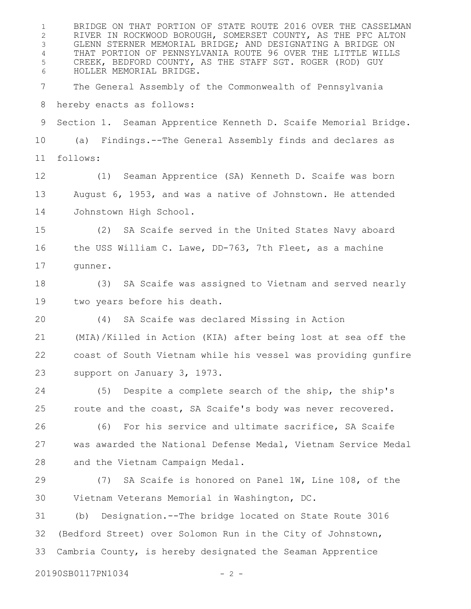BRIDGE ON THAT PORTION OF STATE ROUTE 2016 OVER THE CASSELMAN RIVER IN ROCKWOOD BOROUGH, SOMERSET COUNTY, AS THE PFC ALTON GLENN STERNER MEMORIAL BRIDGE; AND DESIGNATING A BRIDGE ON THAT PORTION OF PENNSYLVANIA ROUTE 96 OVER THE LITTLE WILLS CREEK, BEDFORD COUNTY, AS THE STAFF SGT. ROGER (ROD) GUY HOLLER MEMORIAL BRIDGE. The General Assembly of the Commonwealth of Pennsylvania hereby enacts as follows: Section 1. Seaman Apprentice Kenneth D. Scaife Memorial Bridge. (a) Findings.--The General Assembly finds and declares as follows: (1) Seaman Apprentice (SA) Kenneth D. Scaife was born August 6, 1953, and was a native of Johnstown. He attended Johnstown High School. (2) SA Scaife served in the United States Navy aboard the USS William C. Lawe, DD-763, 7th Fleet, as a machine gunner. (3) SA Scaife was assigned to Vietnam and served nearly two years before his death. (4) SA Scaife was declared Missing in Action (MIA)/Killed in Action (KIA) after being lost at sea off the coast of South Vietnam while his vessel was providing gunfire support on January 3, 1973. (5) Despite a complete search of the ship, the ship's route and the coast, SA Scaife's body was never recovered. (6) For his service and ultimate sacrifice, SA Scaife was awarded the National Defense Medal, Vietnam Service Medal and the Vietnam Campaign Medal. (7) SA Scaife is honored on Panel 1W, Line 108, of the Vietnam Veterans Memorial in Washington, DC. (b) Designation.--The bridge located on State Route 3016 (Bedford Street) over Solomon Run in the City of Johnstown, Cambria County, is hereby designated the Seaman Apprentice 1 2 3 4 5 6 7 8 9 10 11 12 13 14 15 16 17 18 19  $20$ 21 22 23 24 25 26 27 28 29 30 31 32 33

20190SB0117PN1034 - 2 -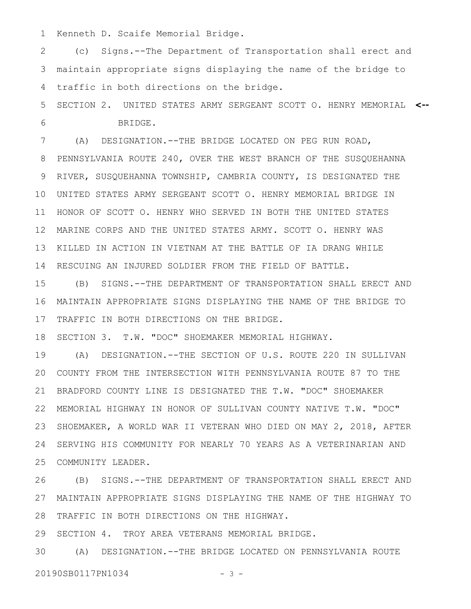Kenneth D. Scaife Memorial Bridge. 1

(c) Signs.--The Department of Transportation shall erect and maintain appropriate signs displaying the name of the bridge to traffic in both directions on the bridge. 2 3 4

SECTION 2. UNITED STATES ARMY SERGEANT SCOTT O. HENRY MEMORIAL **<--** BRIDGE. 5 6

(A) DESIGNATION.--THE BRIDGE LOCATED ON PEG RUN ROAD, 7

PENNSYLVANIA ROUTE 240, OVER THE WEST BRANCH OF THE SUSQUEHANNA RIVER, SUSQUEHANNA TOWNSHIP, CAMBRIA COUNTY, IS DESIGNATED THE UNITED STATES ARMY SERGEANT SCOTT O. HENRY MEMORIAL BRIDGE IN 10 HONOR OF SCOTT O. HENRY WHO SERVED IN BOTH THE UNITED STATES MARINE CORPS AND THE UNITED STATES ARMY. SCOTT O. HENRY WAS KILLED IN ACTION IN VIETNAM AT THE BATTLE OF IA DRANG WHILE RESCUING AN INJURED SOLDIER FROM THE FIELD OF BATTLE. 8 9 11 12 13 14

(B) SIGNS.--THE DEPARTMENT OF TRANSPORTATION SHALL ERECT AND MAINTAIN APPROPRIATE SIGNS DISPLAYING THE NAME OF THE BRIDGE TO TRAFFIC IN BOTH DIRECTIONS ON THE BRIDGE. 15 16 17

SECTION 3. T.W. "DOC" SHOEMAKER MEMORIAL HIGHWAY. 18

(A) DESIGNATION.--THE SECTION OF U.S. ROUTE 220 IN SULLIVAN COUNTY FROM THE INTERSECTION WITH PENNSYLVANIA ROUTE 87 TO THE BRADFORD COUNTY LINE IS DESIGNATED THE T.W. "DOC" SHOEMAKER MEMORIAL HIGHWAY IN HONOR OF SULLIVAN COUNTY NATIVE T.W. "DOC" SHOEMAKER, A WORLD WAR II VETERAN WHO DIED ON MAY 2, 2018, AFTER SERVING HIS COMMUNITY FOR NEARLY 70 YEARS AS A VETERINARIAN AND COMMUNITY LEADER. 19 20 21 22 23 24 25

(B) SIGNS.--THE DEPARTMENT OF TRANSPORTATION SHALL ERECT AND MAINTAIN APPROPRIATE SIGNS DISPLAYING THE NAME OF THE HIGHWAY TO TRAFFIC IN BOTH DIRECTIONS ON THE HIGHWAY. 26 27 28

SECTION 4. TROY AREA VETERANS MEMORIAL BRIDGE. 29

(A) DESIGNATION.--THE BRIDGE LOCATED ON PENNSYLVANIA ROUTE 3020190SB0117PN1034 - 3 -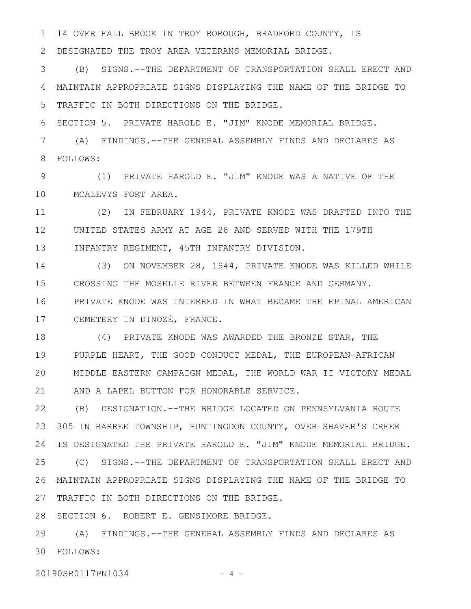14 OVER FALL BROOK IN TROY BOROUGH, BRADFORD COUNTY, IS 1

DESIGNATED THE TROY AREA VETERANS MEMORIAL BRIDGE. 2

(B) SIGNS.--THE DEPARTMENT OF TRANSPORTATION SHALL ERECT AND MAINTAIN APPROPRIATE SIGNS DISPLAYING THE NAME OF THE BRIDGE TO TRAFFIC IN BOTH DIRECTIONS ON THE BRIDGE. 3 4 5

SECTION 5. PRIVATE HAROLD E. "JIM" KNODE MEMORIAL BRIDGE. 6

(A) FINDINGS.--THE GENERAL ASSEMBLY FINDS AND DECLARES AS FOLLOWS: 7 8

(1) PRIVATE HAROLD E. "JIM" KNODE WAS A NATIVE OF THE MCALEVYS FORT AREA. 9 10

(2) IN FEBRUARY 1944, PRIVATE KNODE WAS DRAFTED INTO THE UNITED STATES ARMY AT AGE 28 AND SERVED WITH THE 179TH INFANTRY REGIMENT, 45TH INFANTRY DIVISION. 11 12 13

(3) ON NOVEMBER 28, 1944, PRIVATE KNODE WAS KILLED WHILE CROSSING THE MOSELLE RIVER BETWEEN FRANCE AND GERMANY. PRIVATE KNODE WAS INTERRED IN WHAT BECAME THE EPINAL AMERICAN CEMETERY IN DINOZÉ, FRANCE. 14 15 16 17

(4) PRIVATE KNODE WAS AWARDED THE BRONZE STAR, THE PURPLE HEART, THE GOOD CONDUCT MEDAL, THE EUROPEAN-AFRICAN MIDDLE EASTERN CAMPAIGN MEDAL, THE WORLD WAR II VICTORY MEDAL AND A LAPEL BUTTON FOR HONORABLE SERVICE. 18 19 20 21

(B) DESIGNATION.--THE BRIDGE LOCATED ON PENNSYLVANIA ROUTE 305 IN BARREE TOWNSHIP, HUNTINGDON COUNTY, OVER SHAVER'S CREEK IS DESIGNATED THE PRIVATE HAROLD E. "JIM" KNODE MEMORIAL BRIDGE. (C) SIGNS.--THE DEPARTMENT OF TRANSPORTATION SHALL ERECT AND MAINTAIN APPROPRIATE SIGNS DISPLAYING THE NAME OF THE BRIDGE TO 26 27 TRAFFIC IN BOTH DIRECTIONS ON THE BRIDGE. 22 23 24 25

28 SECTION 6. ROBERT E. GENSIMORE BRIDGE.

(A) FINDINGS.--THE GENERAL ASSEMBLY FINDS AND DECLARES AS FOLLOWS: 3029

20190SB0117PN1034 - 4 -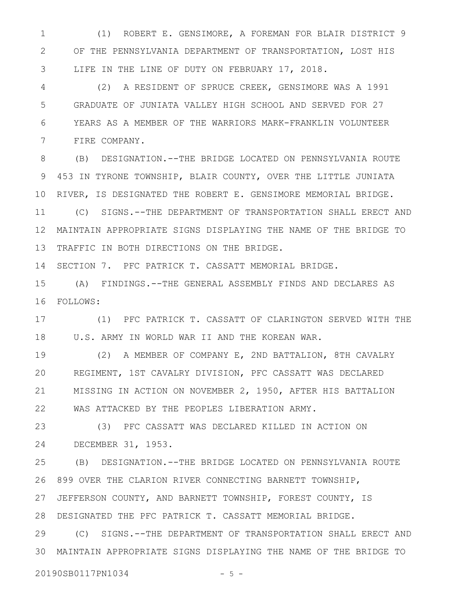(1) ROBERT E. GENSIMORE, A FOREMAN FOR BLAIR DISTRICT 9 OF THE PENNSYLVANIA DEPARTMENT OF TRANSPORTATION, LOST HIS LIFE IN THE LINE OF DUTY ON FEBRUARY 17, 2018. 1 2 3

(2) A RESIDENT OF SPRUCE CREEK, GENSIMORE WAS A 1991 GRADUATE OF JUNIATA VALLEY HIGH SCHOOL AND SERVED FOR 27 YEARS AS A MEMBER OF THE WARRIORS MARK-FRANKLIN VOLUNTEER FIRE COMPANY. 4 5 6 7

(B) DESIGNATION.--THE BRIDGE LOCATED ON PENNSYLVANIA ROUTE 453 IN TYRONE TOWNSHIP, BLAIR COUNTY, OVER THE LITTLE JUNIATA RIVER, IS DESIGNATED THE ROBERT E. GENSIMORE MEMORIAL BRIDGE. (C) SIGNS.--THE DEPARTMENT OF TRANSPORTATION SHALL ERECT AND MAINTAIN APPROPRIATE SIGNS DISPLAYING THE NAME OF THE BRIDGE TO 12 13 TRAFFIC IN BOTH DIRECTIONS ON THE BRIDGE. 8 9 10 11

SECTION 7. PFC PATRICK T. CASSATT MEMORIAL BRIDGE. 14

(A) FINDINGS.--THE GENERAL ASSEMBLY FINDS AND DECLARES AS FOLLOWS: 16 15

(1) PFC PATRICK T. CASSATT OF CLARINGTON SERVED WITH THE U.S. ARMY IN WORLD WAR II AND THE KOREAN WAR. 17 18

(2) A MEMBER OF COMPANY E, 2ND BATTALION, 8TH CAVALRY REGIMENT, 1ST CAVALRY DIVISION, PFC CASSATT WAS DECLARED MISSING IN ACTION ON NOVEMBER 2, 1950, AFTER HIS BATTALION WAS ATTACKED BY THE PEOPLES LIBERATION ARMY. 19 20 21 22

(3) PFC CASSATT WAS DECLARED KILLED IN ACTION ON DECEMBER 31, 1953. 23 24

(B) DESIGNATION.--THE BRIDGE LOCATED ON PENNSYLVANIA ROUTE 899 OVER THE CLARION RIVER CONNECTING BARNETT TOWNSHIP, JEFFERSON COUNTY, AND BARNETT TOWNSHIP, FOREST COUNTY, IS DESIGNATED THE PFC PATRICK T. CASSATT MEMORIAL BRIDGE. 28 25 26 27

(C) SIGNS.--THE DEPARTMENT OF TRANSPORTATION SHALL ERECT AND MAINTAIN APPROPRIATE SIGNS DISPLAYING THE NAME OF THE BRIDGE TO 3029

20190SB0117PN1034 - 5 -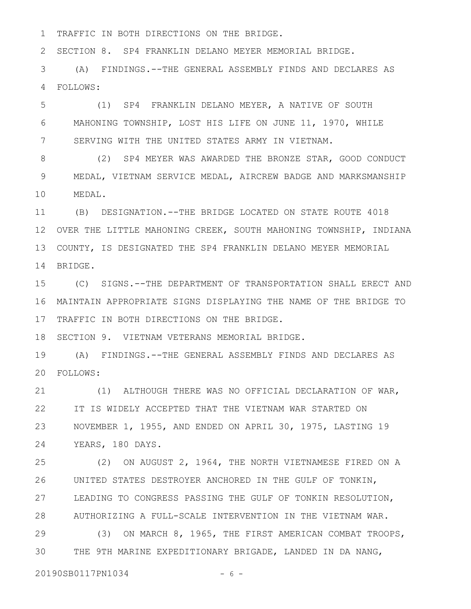TRAFFIC IN BOTH DIRECTIONS ON THE BRIDGE. 1

SECTION 8. SP4 FRANKLIN DELANO MEYER MEMORIAL BRIDGE. 2

(A) FINDINGS.--THE GENERAL ASSEMBLY FINDS AND DECLARES AS FOLLOWS: 3 4

(1) SP4 FRANKLIN DELANO MEYER, A NATIVE OF SOUTH MAHONING TOWNSHIP, LOST HIS LIFE ON JUNE 11, 1970, WHILE SERVING WITH THE UNITED STATES ARMY IN VIETNAM. 5 6 7

(2) SP4 MEYER WAS AWARDED THE BRONZE STAR, GOOD CONDUCT MEDAL, VIETNAM SERVICE MEDAL, AIRCREW BADGE AND MARKSMANSHIP MEDAL. 8 9 10

(B) DESIGNATION.--THE BRIDGE LOCATED ON STATE ROUTE 4018 12 OVER THE LITTLE MAHONING CREEK, SOUTH MAHONING TOWNSHIP, INDIANA COUNTY, IS DESIGNATED THE SP4 FRANKLIN DELANO MEYER MEMORIAL 13 14 BRIDGE. 11

(C) SIGNS.--THE DEPARTMENT OF TRANSPORTATION SHALL ERECT AND MAINTAIN APPROPRIATE SIGNS DISPLAYING THE NAME OF THE BRIDGE TO 16 17 TRAFFIC IN BOTH DIRECTIONS ON THE BRIDGE. 15

18 SECTION 9. VIETNAM VETERANS MEMORIAL BRIDGE.

(A) FINDINGS.--THE GENERAL ASSEMBLY FINDS AND DECLARES AS FOLLOWS: 20 19

(1) ALTHOUGH THERE WAS NO OFFICIAL DECLARATION OF WAR, IT IS WIDELY ACCEPTED THAT THE VIETNAM WAR STARTED ON NOVEMBER 1, 1955, AND ENDED ON APRIL 30, 1975, LASTING 19 YEARS, 180 DAYS. 21 22 23 24

(2) ON AUGUST 2, 1964, THE NORTH VIETNAMESE FIRED ON A UNITED STATES DESTROYER ANCHORED IN THE GULF OF TONKIN, LEADING TO CONGRESS PASSING THE GULF OF TONKIN RESOLUTION, AUTHORIZING A FULL-SCALE INTERVENTION IN THE VIETNAM WAR. 25 26 27 28

(3) ON MARCH 8, 1965, THE FIRST AMERICAN COMBAT TROOPS, THE 9TH MARINE EXPEDITIONARY BRIGADE, LANDED IN DA NANG, 29 30

20190SB0117PN1034 - 6 -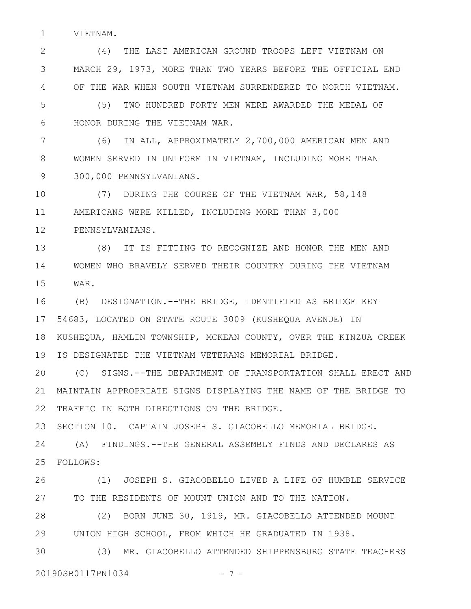VIETNAM. 1

(4) THE LAST AMERICAN GROUND TROOPS LEFT VIETNAM ON MARCH 29, 1973, MORE THAN TWO YEARS BEFORE THE OFFICIAL END OF THE WAR WHEN SOUTH VIETNAM SURRENDERED TO NORTH VIETNAM. 2 3 4

(5) TWO HUNDRED FORTY MEN WERE AWARDED THE MEDAL OF HONOR DURING THE VIETNAM WAR. 5 6

(6) IN ALL, APPROXIMATELY 2,700,000 AMERICAN MEN AND WOMEN SERVED IN UNIFORM IN VIETNAM, INCLUDING MORE THAN 300,000 PENNSYLVANIANS. 7 8 9

(7) DURING THE COURSE OF THE VIETNAM WAR, 58,148 AMERICANS WERE KILLED, INCLUDING MORE THAN 3,000 PENNSYLVANIANS. 10 11 12

(8) IT IS FITTING TO RECOGNIZE AND HONOR THE MEN AND WOMEN WHO BRAVELY SERVED THEIR COUNTRY DURING THE VIETNAM WAR. 13 14 15

(B) DESIGNATION.--THE BRIDGE, IDENTIFIED AS BRIDGE KEY 54683, LOCATED ON STATE ROUTE 3009 (KUSHEQUA AVENUE) IN KUSHEQUA, HAMLIN TOWNSHIP, MCKEAN COUNTY, OVER THE KINZUA CREEK IS DESIGNATED THE VIETNAM VETERANS MEMORIAL BRIDGE. 16 17 18 19

(C) SIGNS.--THE DEPARTMENT OF TRANSPORTATION SHALL ERECT AND MAINTAIN APPROPRIATE SIGNS DISPLAYING THE NAME OF THE BRIDGE TO TRAFFIC IN BOTH DIRECTIONS ON THE BRIDGE. 20 21 22

SECTION 10. CAPTAIN JOSEPH S. GIACOBELLO MEMORIAL BRIDGE. 23

(A) FINDINGS.--THE GENERAL ASSEMBLY FINDS AND DECLARES AS FOLLOWS: 25 24

(1) JOSEPH S. GIACOBELLO LIVED A LIFE OF HUMBLE SERVICE TO THE RESIDENTS OF MOUNT UNION AND TO THE NATION. 26 27

(2) BORN JUNE 30, 1919, MR. GIACOBELLO ATTENDED MOUNT UNION HIGH SCHOOL, FROM WHICH HE GRADUATED IN 1938. 28 29

(3) MR. GIACOBELLO ATTENDED SHIPPENSBURG STATE TEACHERS 20190SB0117PN1034 - 7 -30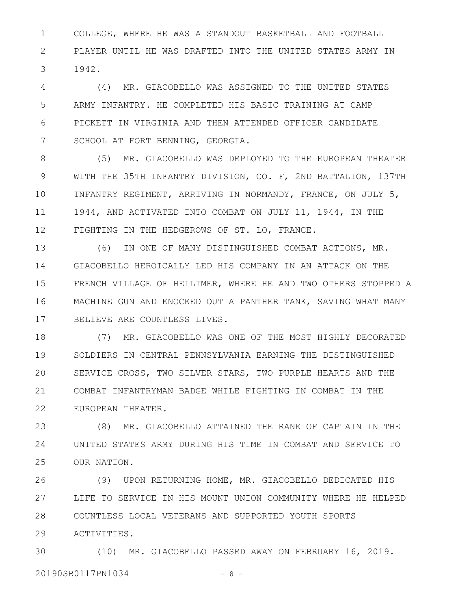COLLEGE, WHERE HE WAS A STANDOUT BASKETBALL AND FOOTBALL PLAYER UNTIL HE WAS DRAFTED INTO THE UNITED STATES ARMY IN 1942. 1 2 3

(4) MR. GIACOBELLO WAS ASSIGNED TO THE UNITED STATES ARMY INFANTRY. HE COMPLETED HIS BASIC TRAINING AT CAMP PICKETT IN VIRGINIA AND THEN ATTENDED OFFICER CANDIDATE SCHOOL AT FORT BENNING, GEORGIA. 4 5 6 7

(5) MR. GIACOBELLO WAS DEPLOYED TO THE EUROPEAN THEATER WITH THE 35TH INFANTRY DIVISION, CO. F, 2ND BATTALION, 137TH INFANTRY REGIMENT, ARRIVING IN NORMANDY, FRANCE, ON JULY 5, 1944, AND ACTIVATED INTO COMBAT ON JULY 11, 1944, IN THE FIGHTING IN THE HEDGEROWS OF ST. LO, FRANCE. 8 9 10 11 12

(6) IN ONE OF MANY DISTINGUISHED COMBAT ACTIONS, MR. GIACOBELLO HEROICALLY LED HIS COMPANY IN AN ATTACK ON THE FRENCH VILLAGE OF HELLIMER, WHERE HE AND TWO OTHERS STOPPED A MACHINE GUN AND KNOCKED OUT A PANTHER TANK, SAVING WHAT MANY BELIEVE ARE COUNTLESS LIVES. 13 14 15 16 17

(7) MR. GIACOBELLO WAS ONE OF THE MOST HIGHLY DECORATED SOLDIERS IN CENTRAL PENNSYLVANIA EARNING THE DISTINGUISHED SERVICE CROSS, TWO SILVER STARS, TWO PURPLE HEARTS AND THE COMBAT INFANTRYMAN BADGE WHILE FIGHTING IN COMBAT IN THE EUROPEAN THEATER. 18 19 20 21 22

(8) MR. GIACOBELLO ATTAINED THE RANK OF CAPTAIN IN THE UNITED STATES ARMY DURING HIS TIME IN COMBAT AND SERVICE TO OUR NATION. 23 24 25

(9) UPON RETURNING HOME, MR. GIACOBELLO DEDICATED HIS LIFE TO SERVICE IN HIS MOUNT UNION COMMUNITY WHERE HE HELPED COUNTLESS LOCAL VETERANS AND SUPPORTED YOUTH SPORTS ACTIVITIES. 26 27 28 29

(10) MR. GIACOBELLO PASSED AWAY ON FEBRUARY 16, 2019. 20190SB0117PN1034 - 8 -30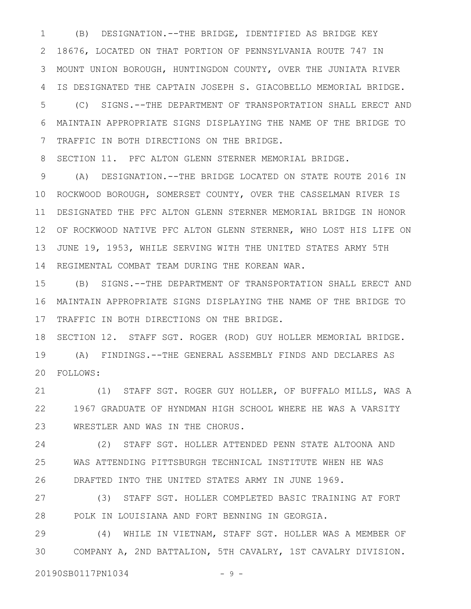(B) DESIGNATION.--THE BRIDGE, IDENTIFIED AS BRIDGE KEY 18676, LOCATED ON THAT PORTION OF PENNSYLVANIA ROUTE 747 IN MOUNT UNION BOROUGH, HUNTINGDON COUNTY, OVER THE JUNIATA RIVER IS DESIGNATED THE CAPTAIN JOSEPH S. GIACOBELLO MEMORIAL BRIDGE. 1 2 3 4

(C) SIGNS.--THE DEPARTMENT OF TRANSPORTATION SHALL ERECT AND MAINTAIN APPROPRIATE SIGNS DISPLAYING THE NAME OF THE BRIDGE TO TRAFFIC IN BOTH DIRECTIONS ON THE BRIDGE. 5 6 7

SECTION 11. PFC ALTON GLENN STERNER MEMORIAL BRIDGE. 8

(A) DESIGNATION.--THE BRIDGE LOCATED ON STATE ROUTE 2016 IN ROCKWOOD BOROUGH, SOMERSET COUNTY, OVER THE CASSELMAN RIVER IS DESIGNATED THE PFC ALTON GLENN STERNER MEMORIAL BRIDGE IN HONOR OF ROCKWOOD NATIVE PFC ALTON GLENN STERNER, WHO LOST HIS LIFE ON 12 JUNE 19, 1953, WHILE SERVING WITH THE UNITED STATES ARMY 5TH REGIMENTAL COMBAT TEAM DURING THE KOREAN WAR. 9 10 11 13 14

(B) SIGNS.--THE DEPARTMENT OF TRANSPORTATION SHALL ERECT AND MAINTAIN APPROPRIATE SIGNS DISPLAYING THE NAME OF THE BRIDGE TO TRAFFIC IN BOTH DIRECTIONS ON THE BRIDGE. 15 16 17

SECTION 12. STAFF SGT. ROGER (ROD) GUY HOLLER MEMORIAL BRIDGE. (A) FINDINGS.--THE GENERAL ASSEMBLY FINDS AND DECLARES AS FOLLOWS: 20 18 19

(1) STAFF SGT. ROGER GUY HOLLER, OF BUFFALO MILLS, WAS A 1967 GRADUATE OF HYNDMAN HIGH SCHOOL WHERE HE WAS A VARSITY WRESTLER AND WAS IN THE CHORUS. 21 22 23

(2) STAFF SGT. HOLLER ATTENDED PENN STATE ALTOONA AND WAS ATTENDING PITTSBURGH TECHNICAL INSTITUTE WHEN HE WAS DRAFTED INTO THE UNITED STATES ARMY IN JUNE 1969. 24 25 26

(3) STAFF SGT. HOLLER COMPLETED BASIC TRAINING AT FORT POLK IN LOUISIANA AND FORT BENNING IN GEORGIA. 27 28

(4) WHILE IN VIETNAM, STAFF SGT. HOLLER WAS A MEMBER OF COMPANY A, 2ND BATTALION, 5TH CAVALRY, 1ST CAVALRY DIVISION. 29 30